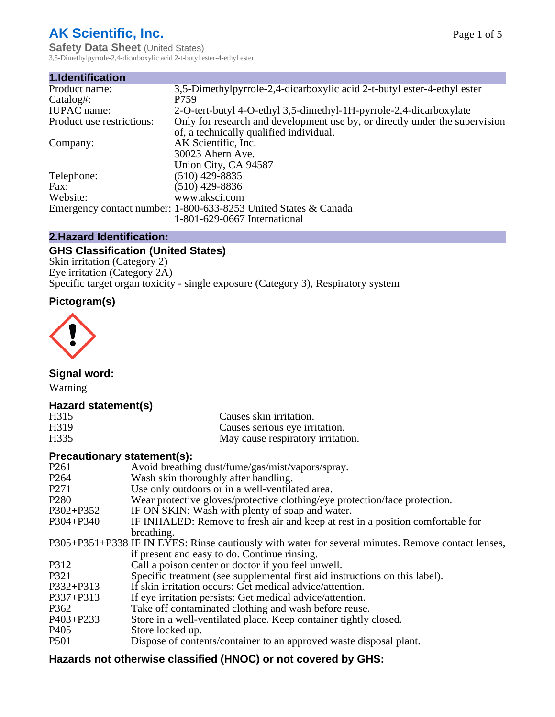# **AK Scientific, Inc.**

**Safety Data Sheet (United States)** 3,5-Dimethylpyrrole-2,4-dicarboxylic acid 2-t-butyl ester-4-ethyl ester

| 1.Identification          |                                                                             |
|---------------------------|-----------------------------------------------------------------------------|
| Product name:             | 3,5-Dimethylpyrrole-2,4-dicarboxylic acid 2-t-butyl ester-4-ethyl ester-    |
| Catalog#:                 | P759                                                                        |
| <b>IUPAC</b> name:        | 2-O-tert-butyl 4-O-ethyl 3,5-dimethyl-1H-pyrrole-2,4-dicarboxylate          |
| Product use restrictions: | Only for research and development use by, or directly under the supervision |
|                           | of, a technically qualified individual.                                     |
| Company:                  | AK Scientific, Inc.                                                         |
|                           | 30023 Ahern Ave.                                                            |
|                           | Union City, CA 94587                                                        |
| Telephone:                | $(510)$ 429-8835                                                            |
| Fax:                      | $(510)$ 429-8836                                                            |
| Website:                  | www.aksci.com                                                               |
|                           | Emergency contact number: 1-800-633-8253 United States & Canada             |
|                           | 1-801-629-0667 International                                                |

## **2.Hazard Identification:**

# **GHS Classification (United States)**

Skin irritation (Category 2) Eye irritation (Category 2A) Specific target organ toxicity - single exposure (Category 3), Respiratory system

## **Pictogram(s)**



**Signal word:**

Warning

## **Hazard statement(s)**

| H <sub>315</sub>  | Causes skin irritation.           |
|-------------------|-----------------------------------|
| H <sub>3</sub> 19 | Causes serious eye irritation.    |
| H335              | May cause respiratory irritation. |

## **Precautionary statement(s):**

| P <sub>261</sub> | Avoid breathing dust/fume/gas/mist/vapors/spray.                                                   |
|------------------|----------------------------------------------------------------------------------------------------|
| P <sub>264</sub> | Wash skin thoroughly after handling.                                                               |
| P <sub>271</sub> | Use only outdoors or in a well-ventilated area.                                                    |
| P <sub>280</sub> | Wear protective gloves/protective clothing/eye protection/face protection.                         |
| P302+P352        | IF ON SKIN: Wash with plenty of soap and water.                                                    |
| $P304 + P340$    | IF INHALED: Remove to fresh air and keep at rest in a position comfortable for                     |
|                  | breathing.                                                                                         |
|                  | P305+P351+P338 IF IN EYES: Rinse cautiously with water for several minutes. Remove contact lenses, |
|                  | if present and easy to do. Continue rinsing.                                                       |
| P312             | Call a poison center or doctor if you feel unwell.                                                 |
| P321             | Specific treatment (see supplemental first aid instructions on this label).                        |
| P332+P313        | If skin irritation occurs: Get medical advice/attention.                                           |
| P337+P313        | If eye irritation persists: Get medical advice/attention.                                          |
| P362             | Take off contaminated clothing and wash before reuse.                                              |
| P403+P233        | Store in a well-ventilated place. Keep container tightly closed.                                   |
| P <sub>405</sub> | Store locked up.                                                                                   |
| P <sub>501</sub> | Dispose of contents/container to an approved waste disposal plant.                                 |
|                  |                                                                                                    |

# **Hazards not otherwise classified (HNOC) or not covered by GHS:**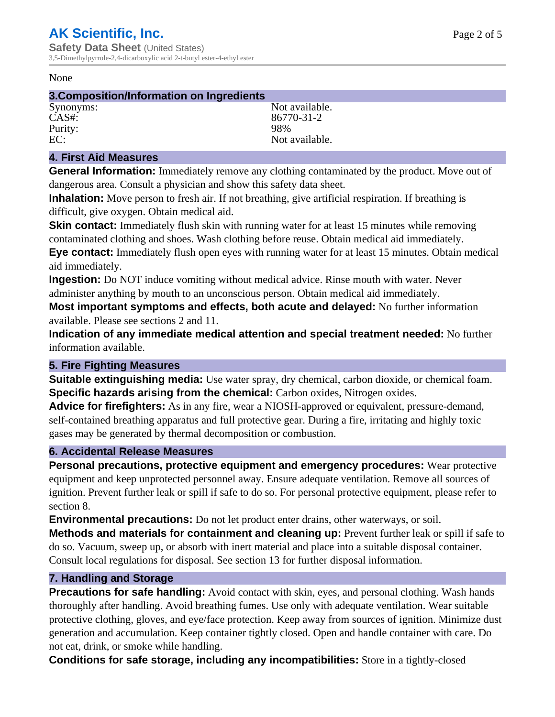#### None

### **3.Composition/Information on Ingredients**

Purity:<br>EC:

Synonyms: Not available. CAS#: 86770-31-2<br>Purity: 98% 98% Not available.

## **4. First Aid Measures**

**General Information:** Immediately remove any clothing contaminated by the product. Move out of dangerous area. Consult a physician and show this safety data sheet.

**Inhalation:** Move person to fresh air. If not breathing, give artificial respiration. If breathing is difficult, give oxygen. Obtain medical aid.

**Skin contact:** Immediately flush skin with running water for at least 15 minutes while removing contaminated clothing and shoes. Wash clothing before reuse. Obtain medical aid immediately. **Eye contact:** Immediately flush open eyes with running water for at least 15 minutes. Obtain medical aid immediately.

**Ingestion:** Do NOT induce vomiting without medical advice. Rinse mouth with water. Never administer anything by mouth to an unconscious person. Obtain medical aid immediately.

**Most important symptoms and effects, both acute and delayed:** No further information available. Please see sections 2 and 11.

**Indication of any immediate medical attention and special treatment needed:** No further information available.

#### **5. Fire Fighting Measures**

**Suitable extinguishing media:** Use water spray, dry chemical, carbon dioxide, or chemical foam. **Specific hazards arising from the chemical:** Carbon oxides, Nitrogen oxides.

**Advice for firefighters:** As in any fire, wear a NIOSH-approved or equivalent, pressure-demand, self-contained breathing apparatus and full protective gear. During a fire, irritating and highly toxic gases may be generated by thermal decomposition or combustion.

#### **6. Accidental Release Measures**

**Personal precautions, protective equipment and emergency procedures:** Wear protective equipment and keep unprotected personnel away. Ensure adequate ventilation. Remove all sources of ignition. Prevent further leak or spill if safe to do so. For personal protective equipment, please refer to section 8.

**Environmental precautions:** Do not let product enter drains, other waterways, or soil.

**Methods and materials for containment and cleaning up:** Prevent further leak or spill if safe to do so. Vacuum, sweep up, or absorb with inert material and place into a suitable disposal container. Consult local regulations for disposal. See section 13 for further disposal information.

#### **7. Handling and Storage**

**Precautions for safe handling:** Avoid contact with skin, eyes, and personal clothing. Wash hands thoroughly after handling. Avoid breathing fumes. Use only with adequate ventilation. Wear suitable protective clothing, gloves, and eye/face protection. Keep away from sources of ignition. Minimize dust generation and accumulation. Keep container tightly closed. Open and handle container with care. Do not eat, drink, or smoke while handling.

**Conditions for safe storage, including any incompatibilities:** Store in a tightly-closed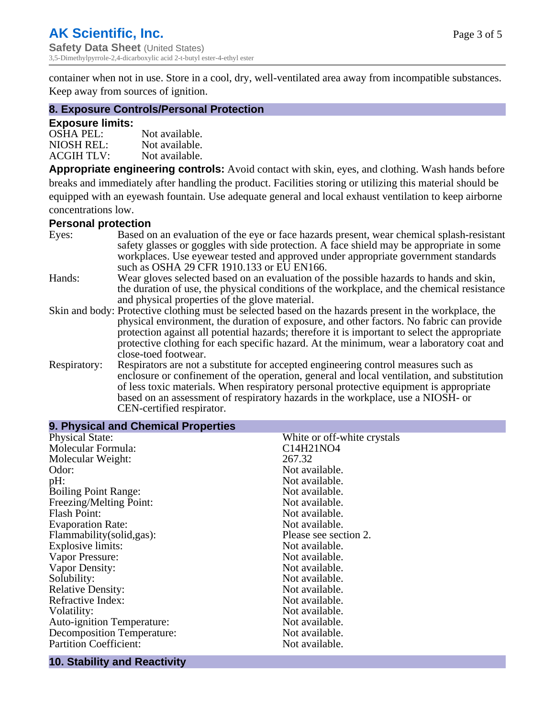container when not in use. Store in a cool, dry, well-ventilated area away from incompatible substances. Keep away from sources of ignition.

#### **8. Exposure Controls/Personal Protection**

#### **Exposure limits:**

| <b>OSHA PEL:</b>  | Not available. |
|-------------------|----------------|
| NIOSH REL:        | Not available. |
| <b>ACGIH TLV:</b> | Not available. |

**Appropriate engineering controls:** Avoid contact with skin, eyes, and clothing. Wash hands before breaks and immediately after handling the product. Facilities storing or utilizing this material should be equipped with an eyewash fountain. Use adequate general and local exhaust ventilation to keep airborne concentrations low.

#### **Personal protection**

| Eyes:        | Based on an evaluation of the eye or face hazards present, wear chemical splash-resistant<br>safety glasses or goggles with side protection. A face shield may be appropriate in some                                                                                      |
|--------------|----------------------------------------------------------------------------------------------------------------------------------------------------------------------------------------------------------------------------------------------------------------------------|
|              | workplaces. Use eyewear tested and approved under appropriate government standards<br>such as OSHA 29 CFR 1910.133 or EU EN166.                                                                                                                                            |
| Hands:       | Wear gloves selected based on an evaluation of the possible hazards to hands and skin,                                                                                                                                                                                     |
|              | the duration of use, the physical conditions of the workplace, and the chemical resistance<br>and physical properties of the glove material.                                                                                                                               |
|              | Skin and body: Protective clothing must be selected based on the hazards present in the workplace, the                                                                                                                                                                     |
|              | physical environment, the duration of exposure, and other factors. No fabric can provide<br>protection against all potential hazards; therefore it is important to select the appropriate                                                                                  |
|              | protective clothing for each specific hazard. At the minimum, wear a laboratory coat and<br>close-toed footwear.                                                                                                                                                           |
| Respiratory: | Respirators are not a substitute for accepted engineering control measures such as<br>enclosure or confinement of the operation, general and local ventilation, and substitution<br>of less toxic materials. When respiratory personal protective equipment is appropriate |
|              | based on an assessment of respiratory hazards in the workplace, use a NIOSH- or                                                                                                                                                                                            |
|              | CEN-certified respirator.                                                                                                                                                                                                                                                  |

| 9. Physical and Chemical Properties |                             |  |  |
|-------------------------------------|-----------------------------|--|--|
| <b>Physical State:</b>              | White or off-white crystals |  |  |
| Molecular Formula:                  | C14H21NO4                   |  |  |
| Molecular Weight:                   | 267.32                      |  |  |
| Odor:                               | Not available.              |  |  |
| pH:                                 | Not available.              |  |  |
| <b>Boiling Point Range:</b>         | Not available.              |  |  |
| Freezing/Melting Point:             | Not available.              |  |  |
| <b>Flash Point:</b>                 | Not available.              |  |  |
| <b>Evaporation Rate:</b>            | Not available.              |  |  |
| Flammability(solid,gas):            | Please see section 2.       |  |  |
| <b>Explosive limits:</b>            | Not available.              |  |  |
| Vapor Pressure:                     | Not available.              |  |  |
| Vapor Density:                      | Not available.              |  |  |
| Solubility:                         | Not available.              |  |  |
| <b>Relative Density:</b>            | Not available.              |  |  |
| Refractive Index:                   | Not available.              |  |  |
| Volatility:                         | Not available.              |  |  |
| <b>Auto-ignition Temperature:</b>   | Not available.              |  |  |
| <b>Decomposition Temperature:</b>   | Not available.              |  |  |
| <b>Partition Coefficient:</b>       | Not available.              |  |  |
|                                     |                             |  |  |

## **10. Stability and Reactivity**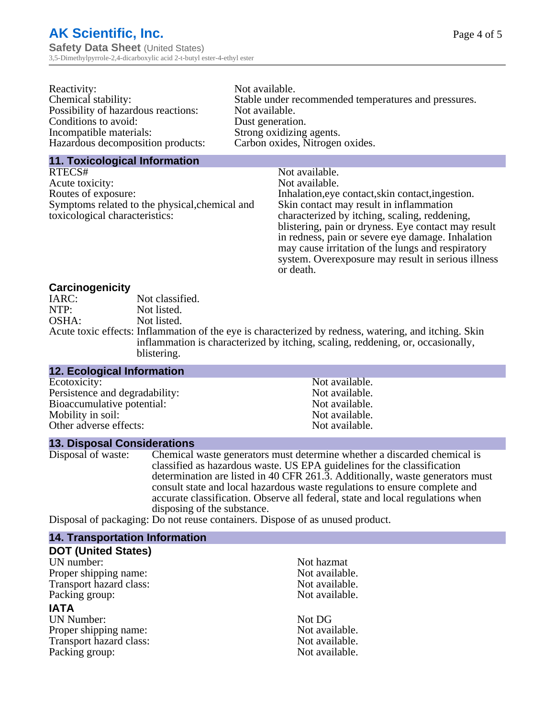| Reactivity:                         | Not available.                                       |
|-------------------------------------|------------------------------------------------------|
| Chemical stability:                 | Stable under recommended temperatures and pressures. |
| Possibility of hazardous reactions: | Not available.                                       |
| Conditions to avoid:                | Dust generation.                                     |
| Incompatible materials:             | Strong oxidizing agents.                             |
| Hazardous decomposition products:   | Carbon oxides, Nitrogen oxides.                      |
|                                     |                                                      |

#### **11. Toxicological Information**

| RTECS#                                         | Not available.                                      |
|------------------------------------------------|-----------------------------------------------------|
| Acute toxicity:                                | Not available.                                      |
| Routes of exposure:                            | Inhalation, eye contact, skin contact, ingestion.   |
| Symptoms related to the physical, chemical and | Skin contact may result in inflammation             |
| toxicological characteristics:                 | characterized by itching, scaling, reddening,       |
|                                                | blistering, pain or dryness. Eye contact may result |
|                                                | in redness, pain or severe eye damage. Inhalation   |
|                                                | may cause irritation of the lungs and respiratory   |
|                                                | system. Overexposure may result in serious illness  |

or death.

#### **Carcinogenicity**

| IARC: | Not classified.                                                                                       |
|-------|-------------------------------------------------------------------------------------------------------|
| NTP:  | Not listed.                                                                                           |
| OSHA: | Not listed.                                                                                           |
|       | Acute toxic effects: Inflammation of the eye is characterized by redness, watering, and itching. Skin |
|       | inflammation is characterized by itching, scaling, reddening, or, occasionally,                       |
|       | blistering.                                                                                           |

| <b>12. Ecological Information</b> |                |
|-----------------------------------|----------------|
| Ecotoxicity:                      | Not available. |
| Persistence and degradability:    | Not available. |
| Bioaccumulative potential:        | Not available. |
| Mobility in soil:                 | Not available. |
| Other adverse effects:            | Not available. |

#### **13. Disposal Considerations**

Disposal of waste: Chemical waste generators must determine whether a discarded chemical is classified as hazardous waste. US EPA guidelines for the classification determination are listed in 40 CFR 261.3. Additionally, waste generators must consult state and local hazardous waste regulations to ensure complete and accurate classification. Observe all federal, state and local regulations when disposing of the substance.

Disposal of packaging: Do not reuse containers. Dispose of as unused product.

| <b>14. Transportation Information</b> |                |
|---------------------------------------|----------------|
| <b>DOT (United States)</b>            |                |
| UN number:                            | Not hazmat     |
| Proper shipping name:                 | Not available. |
| Transport hazard class:               | Not available. |
| Packing group:                        | Not available. |
| <b>IATA</b>                           |                |
| <b>UN Number:</b>                     | Not DG         |
| Proper shipping name:                 | Not available. |
| Transport hazard class:               | Not available. |
| Packing group:                        | Not available. |